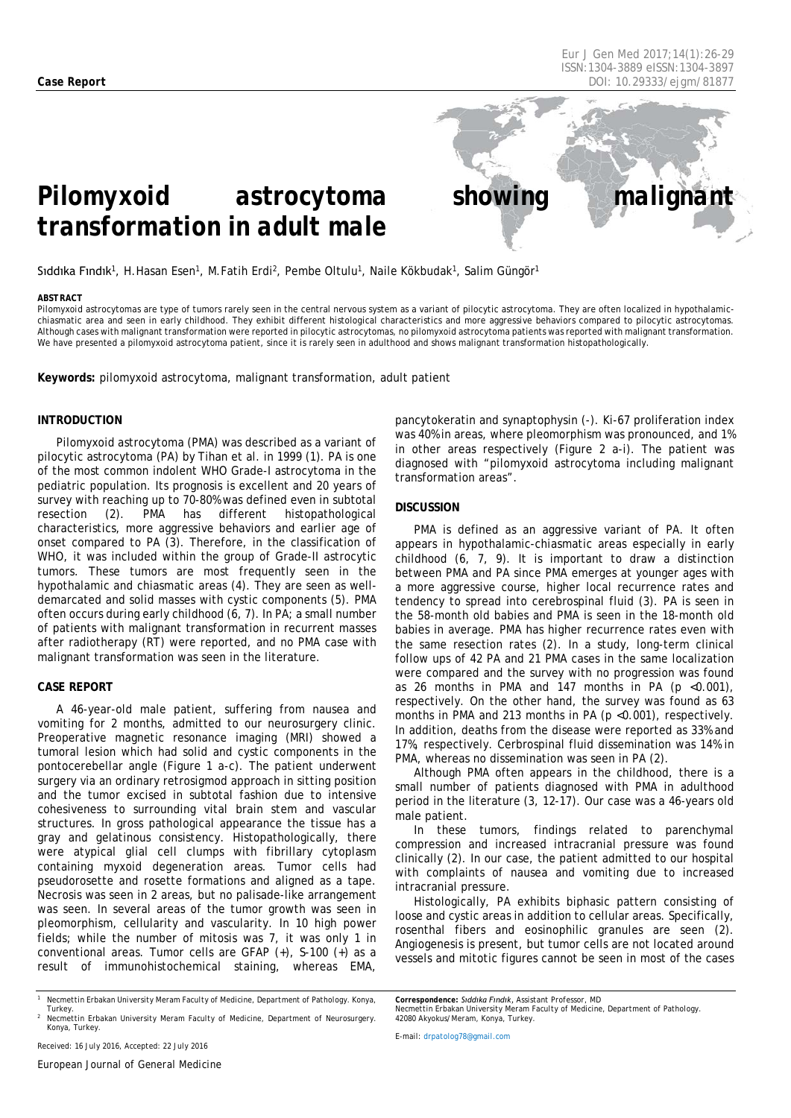*Eur J Gen Med 2017;14(1)[:26](#page-0-0)[-29](#page-3-0) ISSN:1304-3889 eISSN:1304-3897 Case Report DOI: 10.29333/ejgm/81877*

# *Pilomyxoid astrocytoma showing malignant*

## *transformation in adult male*

Sıddıka Fındık<sup>1</sup>, H.Hasan Esen<sup>1</sup>, M.Fatih Erdi<sup>2</sup>, Pembe Oltulu<sup>1</sup>, Naile Kökbudak<sup>1</sup>, Salim Güngör<sup>1</sup>

#### <span id="page-0-0"></span>*ABSTRACT*

Pilomyxoid astrocytomas are type of tumors rarely seen in the central nervous system as a variant of pilocytic astrocytoma. They are often localized in hypothalamicchiasmatic area and seen in early childhood. They exhibit different histological characteristics and more aggressive behaviors compared to pilocytic astrocytomas. Although cases with malignant transformation were reported in pilocytic astrocytomas, no pilomyxoid astrocytoma patients was reported with malignant transformation. We have presented a pilomyxoid astrocytoma patient, since it is rarely seen in adulthood and shows malignant transformation histopathologically.

**Keywords:** pilomyxoid astrocytoma, malignant transformation, adult patient

### **INTRODUCTION**

Pilomyxoid astrocytoma (PMA) was described as a variant of pilocytic astrocytoma (PA) by Tihan et al. in 1999 (1). PA is one of the most common indolent WHO Grade-I astrocytoma in the pediatric population. Its prognosis is excellent and 20 years of survey with reaching up to 70-80% was defined even in subtotal resection (2). PMA has different histopathological characteristics, more aggressive behaviors and earlier age of onset compared to PA (3). Therefore, in the classification of WHO, it was included within the group of Grade-II astrocytic tumors. These tumors are most frequently seen in the hypothalamic and chiasmatic areas (4). They are seen as welldemarcated and solid masses with cystic components (5). PMA often occurs during early childhood (6, 7). In PA; a small number of patients with malignant transformation in recurrent masses after radiotherapy (RT) were reported, and no PMA case with malignant transformation was seen in the literature.

### **CASE REPORT**

A 46-year-old male patient, suffering from nausea and vomiting for 2 months, admitted to our neurosurgery clinic. Preoperative magnetic resonance imaging (MRI) showed a tumoral lesion which had solid and cystic components in the pontocerebellar angle (Figure 1 a-c). The patient underwent surgery via an ordinary retrosigmod approach in sitting position and the tumor excised in subtotal fashion due to intensive cohesiveness to surrounding vital brain stem and vascular structures. In gross pathological [appearance](javascript:void(0)) the tissue has a gray and gelatinous consistency. Histopathologically, there were atypical glial cell clumps with fibrillary cytoplasm containing myxoid degeneration areas. Tumor cells had pseudorosette and rosette formations and aligned as a tape. Necrosis was seen in 2 areas, but no palisade-like arrangement was seen. In several areas of the tumor growth was seen in pleomorphism, cellularity and vascularity. In 10 high power fields; while the number of mitosis was 7, it was only 1 in conventional areas. Tumor cells are GFAP (+), S-100 (+) as a result of immunohistochemical staining, whereas EMA,

pancytokeratin and synaptophysin (-). Ki-67 proliferation index was 40% in areas, where pleomorphism was pronounced, and 1% in other areas respectively (Figure 2 a-i). The patient was diagnosed with "pilomyxoid astrocytoma including malignant transformation areas".

### **DISCUSSION**

PMA is defined as an aggressive variant of PA. It often appears in hypothalamic-chiasmatic areas especially in early childhood (6, 7, 9). It is important to draw a distinction between PMA and PA since PMA emerges at younger ages with a more aggressive course, higher local recurrence rates and tendency to spread into cerebrospinal fluid (3). PA is seen in the 58-month old babies and PMA is seen in the 18-month old babies in average. PMA has higher recurrence rates even with the same resection rates (2). In a study, long-term clinical follow ups of 42 PA and 21 PMA cases in the same localization were compared and the survey with no progression was found as 26 months in PMA and  $147$  months in PA (p <0.001), respectively. On the other hand, the survey was found as 63 months in PMA and 213 months in PA  $(p \le 0.001)$ , respectively. In addition, deaths from the disease were reported as 33% and 17%, respectively. Cerbrospinal fluid dissemination was 14% in PMA, whereas no dissemination was seen in PA (2).

Although PMA often appears in the childhood, there is a small number of patients diagnosed with PMA in adulthood period in the literature (3, 12-17). Our case was a 46-years old male patient.

In these tumors, findings related to parenchymal compression and increased intracranial pressure was found clinically (2). In our case, the patient admitted to our hospital with complaints of nausea and vomiting due to increased intracranial pressure.

Histologically, PA exhibits biphasic pattern consisting of loose and cystic areas in addition to cellular areas. Specifically, rosenthal fibers and eosinophilic granules are seen (2). Angiogenesis is present, but tumor cells are not located around vessels and mitotic figures cannot be seen in most of the cases

*<sup>2</sup> Necmettin Erbakan University Meram Faculty of Medicine, Department of Neurosurgery. Konya, Turkey.*

*Correspondence: Sıddıka Fındık, Assistant Professor, MD*

*E-mail[: drpatolog78@gmail.com](mailto:drpatolog78@gmail.com)*

*<sup>1</sup> Necmettin Erbakan University Meram Faculty of Medicine, Department of Pathology. Konya, Turkey.*

*Necmettin Erbakan University Meram Faculty of Medicine, Department of Pathology. 42080 Akyokus/Meram, Konya, Turkey.*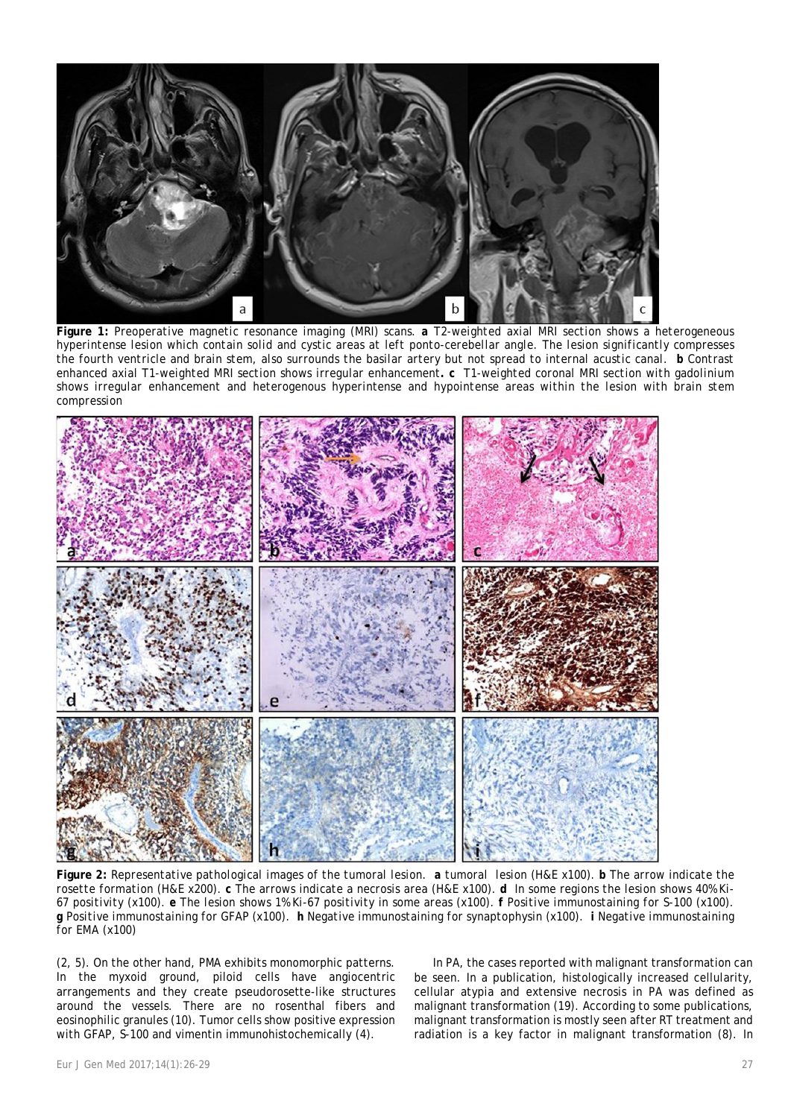

**Figure 1:** *Preoperative magnetic resonance imaging (MRI) scans. a T2-weighted axial MRI section shows a [heterogeneous](javascript:void(0)) hyperintense lesion which contain solid and cystic areas at left ponto-cerebellar angle. The lesion significantly compresses the fourth ventricle and brain stem, also surrounds the basilar artery but not spread to internal acustic canal. b Contrast enhanced axial T1-weighted MRI section shows irregular enhancement. c T1-weighted coronal MRI section with gadolinium shows irregular enhancement and heterogenous hyperintense and hypointense areas within the lesion with brain stem compression*



**Figure 2:** *Representative pathological images of the tumoral lesion. a tumoral lesion (H&E x100). b The arrow indicate the rosette formation (H&E x200). c The arrows indicate a necrosis area (H&E x100). d In some regions the lesion shows 40% Ki-67 positivity (x100). e The lesion shows 1% Ki-67 positivity in some areas (x100). f Positive immunostaining for S-100 (x100). g Positive immunostaining for GFAP (x100). h Negative immunostaining for synaptophysin (x100). i Negative immunostaining for EMA (x100)*

(2, 5). On the other hand, PMA exhibits monomorphic patterns. In the myxoid ground, piloid cells have angiocentric arrangements and they create pseudorosette-like structures around the vessels. There are no rosenthal fibers and eosinophilic granules (10). Tumor cells show positive expression with GFAP, S-100 and vimentin immunohistochemically (4).

In PA, the cases reported with malignant transformation can be seen. In a publication, histologically increased cellularity, cellular atypia and extensive necrosis in PA was defined as malignant transformation (19). According to some publications, malignant transformation is mostly seen after RT treatment and radiation is a key factor in malignant transformation (8). In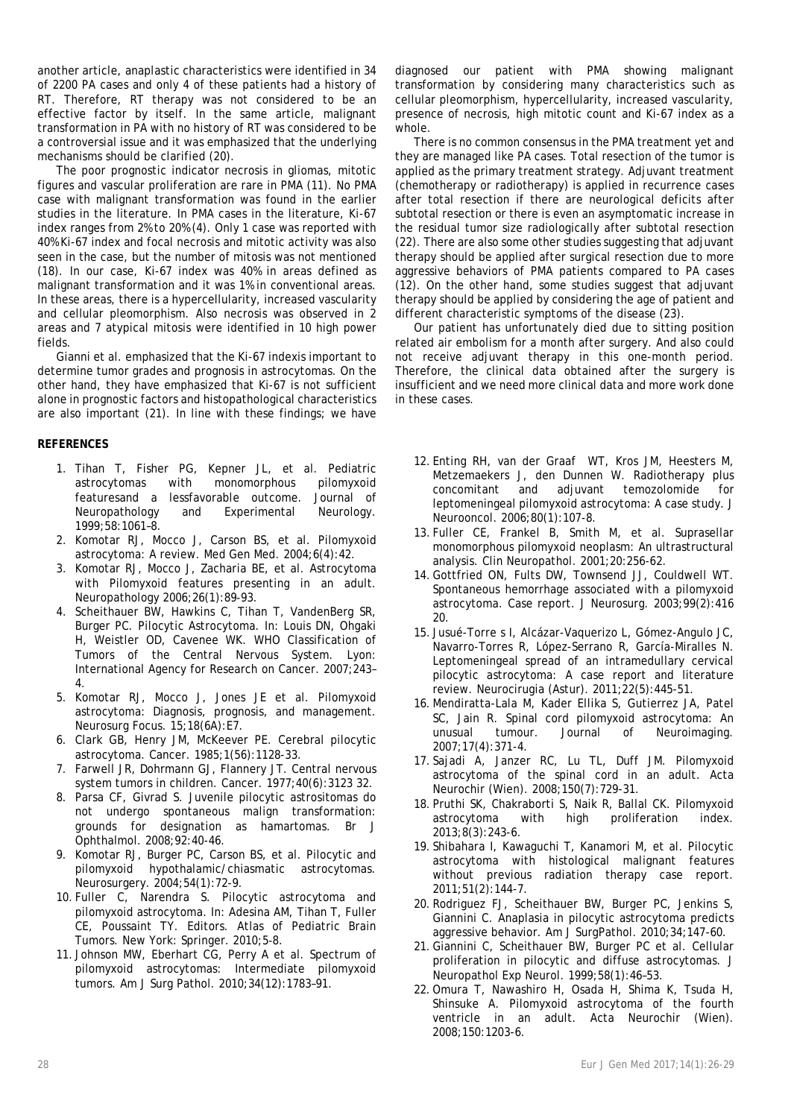another article, anaplastic characteristics were identified in 34 of 2200 PA cases and only 4 of these patients had a history of RT. Therefore, RT therapy was not considered to be an effective factor by itself. In the same article, malignant transformation in PA with no history of RT was considered to be a controversial issue and it was emphasized that the underlying mechanisms should be clarified (20).

The poor prognostic indicator necrosis in gliomas, mitotic figures and vascular proliferation are rare in PMA (11). No PMA case with malignant transformation was found in the earlier studies in the literature. In PMA cases in the literature, Ki-67 index ranges from 2% to 20% (4). Only 1 case was reported with 40% Ki-67 index and focal necrosis and mitotic activity was also seen in the case, but the number of mitosis was not mentioned (18). In our case, Ki-67 index was 40% in areas defined as malignant transformation and it was 1% in conventional areas. In these areas, there is a hypercellularity, increased vascularity and cellular pleomorphism. Also necrosis was observed in 2 areas and 7 atypical mitosis were identified in 10 high power fields.

Gianni et al. emphasized that the Ki-67 indexis important to determine tumor grades and prognosis in astrocytomas. On the other hand, they have emphasized that Ki-67 is not sufficient alone in prognostic factors and histopathological characteristics are also important (21). In line with these findings; we have

### **REFERENCES**

- 1. Tihan T, Fisher PG, Kepner JL, et al. Pediatric astrocytomas with monomorphous pilomyxoid featuresand a lessfavorable outcome. Journal of Neuropathology and Experimental Neurology. 1999;58:1061–8.
- 2. Komotar RJ, Mocco J, Carson BS, et al. Pilomyxoid astrocytoma: A review. Med Gen Med. 2004;6(4):42.
- 3. Komotar RJ, Mocco J, Zacharia BE, et al. Astrocytoma with Pilomyxoid features presenting in an adult. Neuropathology 2006;26(1):89‑93.
- 4. Scheithauer BW, Hawkins C, Tihan T, VandenBerg SR, Burger PC. Pilocytic Astrocytoma. In: Louis DN, Ohgaki H, Weistler OD, Cavenee WK. WHO Classification of Tumors of the Central Nervous System. Lyon: International Agency for Research on Cancer. 2007;243– 4.
- 5. Komotar RJ, Mocco J, Jones JE et al. Pilomyxoid astrocytoma: Diagnosis, prognosis, and management. Neurosurg Focus. 15;18(6A):E7.
- 6. Clark GB, Henry JM, McKeever PE. Cerebral pilocytic astrocytoma. Cancer. 1985;1(56):1128-33.
- 7. Farwell JR, Dohrmann GJ, Flannery JT. Central nervous system tumors in children. Cancer. 1977;40(6):3123 32.
- 8. Parsa CF, Givrad S. Juvenile pilocytic astrositomas do not undergo spontaneous malign transformation: grounds for designation as hamartomas. Br J Ophthalmol. 2008;92:40-46.
- 9. Komotar RJ, Burger PC, Carson BS, et al. Pilocytic and pilomyxoid hypothalamic/chiasmatic astrocytomas. Neurosurgery. 2004;54(1):72-9.
- 10. Fuller C, Narendra S. Pilocytic astrocytoma and pilomyxoid astrocytoma. In: Adesina AM, Tihan T, Fuller CE, Poussaint TY. Editors. Atlas of Pediatric Brain Tumors. New York: Springer. 2010;5-8.
- 11. Johnson MW, Eberhart CG, Perry A et al. Spectrum of pilomyxoid astrocytomas: Intermediate pilomyxoid tumors. Am J Surg Pathol. 2010;34(12):1783–91.

diagnosed our patient with PMA showing malignant transformation by considering many characteristics such as cellular pleomorphism, hypercellularity, increased vascularity, presence of necrosis, high mitotic count and Ki-67 index as a whole.

There is no common consensus in the PMA treatment yet and they are managed like PA cases. Total resection of the tumor is applied as the primary treatment strategy. Adjuvant treatment (chemotherapy or radiotherapy) is applied in recurrence cases after total resection if there are neurological deficits after subtotal resection or there is even an asymptomatic increase in the residual tumor size radiologically after subtotal resection (22). There are also some other studies suggesting that adjuvant therapy should be applied after surgical resection due to more aggressive behaviors of PMA patients compared to PA cases (12). On the other hand, some studies suggest that adjuvant therapy should be applied by considering the age of patient and different characteristic symptoms of the disease (23).

Our patient has unfortunately died due to sitting position related air embolism for a month after surgery. And also could not receive adjuvant therapy in this one-month period. Therefore, the clinical data obtained after the surgery is insufficient and we need more clinical data and more work done in these cases.

- 12. Enting RH, van der Graaf WT, Kros JM, Heesters M, Metzemaekers J, den Dunnen W. Radiotherapy plus concomitant and adjuvant temozolomide for leptomeningeal pilomyxoid astrocytoma: A case study. J Neurooncol. 2006;80(1):107-8.
- 13. Fuller CE, Frankel B, Smith M, et al. Suprasellar monomorphous pilomyxoid neoplasm: An ultrastructural analysis. Clin Neuropathol. 2001;20:256-62.
- 14.Gottfried ON, Fults DW, Townsend JJ, Couldwell WT. Spontaneous hemorrhage associated with a pilomyxoid astrocytoma. Case report. J Neurosurg. 2003;99(2):416 20.
- 15. Jusué-Torre s I, Alcázar-Vaquerizo L, Gómez-Angulo JC, Navarro-Torres R, López-Serrano R, García-Miralles N. Leptomeningeal spread of an intramedullary cervical pilocytic astrocytoma: A case report and literature review. Neurocirugia (Astur). 2011;22(5):445-51.
- 16. Mendiratta-Lala M, Kader Ellika S, Gutierrez JA, Patel SC, Jain R. Spinal cord pilomyxoid astrocytoma: An unusual tumour. Journal of Neuroimaging. 2007;17(4):371-4.
- 17. Sajadi A, Janzer RC, Lu TL, Duff JM. Pilomyxoid astrocytoma of the spinal cord in an adult. Acta Neurochir (Wien). 2008;150(7):729-31.
- 18. Pruthi SK, Chakraborti S, Naik R, Ballal CK. Pilomyxoid astrocytoma with high proliferation index. 2013;8(3):243-6.
- 19. Shibahara I, Kawaguchi T, Kanamori M, et al. Pilocytic astrocytoma with histological malignant features without previous radiation therapy case report. 2011;51(2):144-7.
- 20. Rodriguez FJ, Scheithauer BW, Burger PC, Jenkins S, Giannini C. Anaplasia in pilocytic astrocytoma predicts aggressive behavior. Am J SurgPathol. 2010;34;147-60.
- 21.Giannini C, Scheithauer BW, Burger PC et al. Cellular proliferation in pilocytic and diffuse astrocytomas. J Neuropathol Exp Neurol. 1999;58(1):46–53.
- 22.Omura T, Nawashiro H, Osada H, Shima K, Tsuda H, Shinsuke A. Pilomyxoid astrocytoma of the fourth ventricle in an adult. Acta Neurochir (Wien). 2008;150:1203-6.